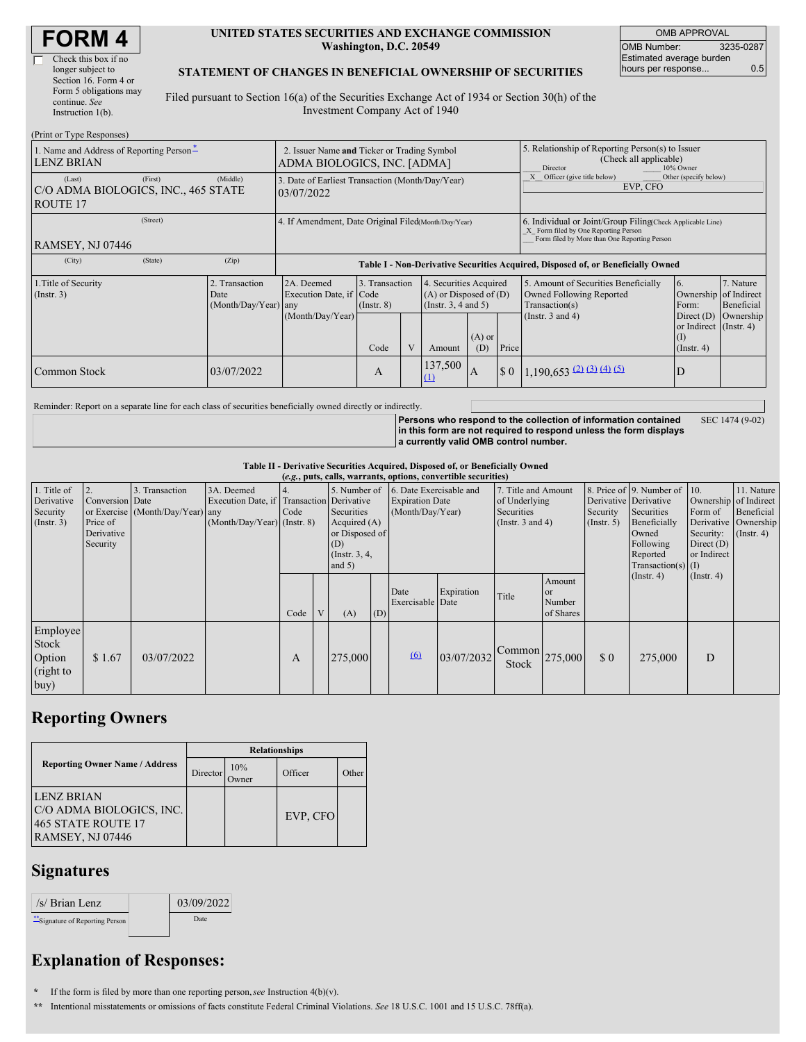| <b>FORM4</b> |  |
|--------------|--|
|--------------|--|

| Check this box if no   |
|------------------------|
| longer subject to      |
| Section 16. Form 4 or  |
| Form 5 obligations may |
| continue. See          |
| Instruction $l(b)$ .   |

#### **UNITED STATES SECURITIES AND EXCHANGE COMMISSION Washington, D.C. 20549**

OMB APPROVAL OMB Number: 3235-0287 Estimated average burden hours per response... 0.5

#### **STATEMENT OF CHANGES IN BENEFICIAL OWNERSHIP OF SECURITIES**

Filed pursuant to Section 16(a) of the Securities Exchange Act of 1934 or Section 30(h) of the Investment Company Act of 1940

| (Print or Type Responses)                                            |                                                       |                                                                                  |                                                |  |                |                                                                                                          |                                                                                                                                                    |                                                                                                             |                                                                                                                    |                                      |  |
|----------------------------------------------------------------------|-------------------------------------------------------|----------------------------------------------------------------------------------|------------------------------------------------|--|----------------|----------------------------------------------------------------------------------------------------------|----------------------------------------------------------------------------------------------------------------------------------------------------|-------------------------------------------------------------------------------------------------------------|--------------------------------------------------------------------------------------------------------------------|--------------------------------------|--|
| 1. Name and Address of Reporting Person-<br><b>LENZ BRIAN</b>        |                                                       | 2. Issuer Name and Ticker or Trading Symbol<br>ADMA BIOLOGICS, INC. [ADMA]       |                                                |  |                |                                                                                                          | 5. Relationship of Reporting Person(s) to Issuer<br>(Check all applicable)<br>Director<br>10% Owner                                                |                                                                                                             |                                                                                                                    |                                      |  |
| (First)<br>(Last)<br>C/O ADMA BIOLOGICS, INC., 465 STATE<br>ROUTE 17 | (Middle)                                              | 3. Date of Earliest Transaction (Month/Day/Year)<br>03/07/2022                   |                                                |  |                |                                                                                                          |                                                                                                                                                    | Officer (give title below)<br>Other (specify below)<br>EVP, CFO                                             |                                                                                                                    |                                      |  |
| (Street)<br><b>RAMSEY, NJ 07446</b>                                  | 4. If Amendment, Date Original Filed (Month/Day/Year) |                                                                                  |                                                |  |                |                                                                                                          | 6. Individual or Joint/Group Filing(Check Applicable Line)<br>X Form filed by One Reporting Person<br>Form filed by More than One Reporting Person |                                                                                                             |                                                                                                                    |                                      |  |
| (State)<br>(City)                                                    | (Zip)                                                 | Table I - Non-Derivative Securities Acquired, Disposed of, or Beneficially Owned |                                                |  |                |                                                                                                          |                                                                                                                                                    |                                                                                                             |                                                                                                                    |                                      |  |
| 1. Title of Security<br>$($ Instr. 3 $)$                             | 2. Transaction<br>Date<br>(Month/Day/Year) any        | 2A. Deemed<br>Execution Date, if Code<br>(Month/Day/Year)                        | 3. Transaction<br>$($ Instr. $8)$<br>V<br>Code |  | Amount         | 4. Securities Acquired<br>$(A)$ or Disposed of $(D)$<br>(Insert. 3, 4 and 5)<br>$(A)$ or<br>Price<br>(D) |                                                                                                                                                    | 5. Amount of Securities Beneficially<br>Owned Following Reported<br>Transaction(s)<br>(Instr. $3$ and $4$ ) | 6.<br>Ownership of Indirect<br>Form:<br>Direct $(D)$<br>or Indirect (Instr. 4)<br>$($ $\Gamma$<br>$($ Instr. 4 $)$ | 7. Nature<br>Beneficial<br>Ownership |  |
| Common Stock                                                         | 03/07/2022                                            |                                                                                  | A                                              |  | 137,500<br>(1) | IA                                                                                                       | $\boldsymbol{\mathsf{S}}$ 0                                                                                                                        | $1,190,653$ (2) (3) (4) (5)                                                                                 | D                                                                                                                  |                                      |  |

Reminder: Report on a separate line for each class of securities beneficially owned directly or indirectly.

**Persons who respond to the collection of information contained in this form are not required to respond unless the form displays a currently valid OMB control number.** SEC 1474 (9-02)

**Table II - Derivative Securities Acquired, Disposed of, or Beneficially Owned**

| (e.g., puts, calls, warrants, options, convertible securities) |                                                       |                                                    |                                                                                        |      |   |                                                                                                       |     |                                                                       |            |                                                                                    |                                            |                                                       |                                                                                                                      |                                                                              |                                                                      |
|----------------------------------------------------------------|-------------------------------------------------------|----------------------------------------------------|----------------------------------------------------------------------------------------|------|---|-------------------------------------------------------------------------------------------------------|-----|-----------------------------------------------------------------------|------------|------------------------------------------------------------------------------------|--------------------------------------------|-------------------------------------------------------|----------------------------------------------------------------------------------------------------------------------|------------------------------------------------------------------------------|----------------------------------------------------------------------|
| 1. Title of<br>Derivative<br>Security<br>$($ Instr. 3 $)$      | Conversion Date<br>Price of<br>Derivative<br>Security | 3. Transaction<br>or Exercise (Month/Day/Year) any | 3A. Deemed<br>Execution Date, if Transaction Derivative<br>(Month/Day/Year) (Instr. 8) | Code |   | 5. Number of<br>Securities<br>Acquired (A)<br>or Disposed of<br>(D)<br>$($ Instr. $3, 4,$<br>and $5)$ |     | 6. Date Exercisable and<br><b>Expiration Date</b><br>(Month/Day/Year) |            | 7. Title and Amount<br>of Underlying<br><b>Securities</b><br>(Instr. $3$ and $4$ ) |                                            | Derivative Derivative<br>Security<br>$($ Instr. 5 $)$ | 8. Price of 9. Number of 10.<br>Securities<br>Beneficially<br>Owned<br>Following<br>Reported<br>Transaction(s) $(I)$ | Ownership of Indirect<br>Form of<br>Security:<br>Direct $(D)$<br>or Indirect | 11. Nature<br>Beneficial<br>Derivative Ownership<br>$($ Instr. 4 $)$ |
|                                                                |                                                       |                                                    |                                                                                        | Code | V | (A)                                                                                                   | (D) | Date<br>Exercisable Date                                              | Expiration | Title                                                                              | Amount<br><b>or</b><br>Number<br>of Shares |                                                       | $($ Instr. 4 $)$                                                                                                     | $($ Instr. 4 $)$                                                             |                                                                      |
| Employee<br><b>Stock</b><br>Option<br>(right to<br>buy)        | \$1.67                                                | 03/07/2022                                         |                                                                                        | А    |   | 275,000                                                                                               |     | (6)                                                                   | 03/07/2032 | Common<br>Stock                                                                    | 275,000                                    | \$0                                                   | 275,000                                                                                                              | D                                                                            |                                                                      |

## **Reporting Owners**

|                                                                                         | <b>Relationships</b> |                     |          |       |  |  |  |  |
|-----------------------------------------------------------------------------------------|----------------------|---------------------|----------|-------|--|--|--|--|
| <b>Reporting Owner Name / Address</b>                                                   | Director             | 10%<br><b>Twner</b> | Officer  | Other |  |  |  |  |
| <b>LENZ BRIAN</b><br>C/O ADMA BIOLOGICS, INC.<br>465 STATE ROUTE 17<br>RAMSEY, NJ 07446 |                      |                     | EVP, CFO |       |  |  |  |  |

### **Signatures**

| /s/ Brian Lenz                 | 03/09/2022 |
|--------------------------------|------------|
| "Signature of Reporting Person | Date       |

# **Explanation of Responses:**

**\*** If the form is filed by more than one reporting person,*see* Instruction 4(b)(v).

**\*\*** Intentional misstatements or omissions of facts constitute Federal Criminal Violations. *See* 18 U.S.C. 1001 and 15 U.S.C. 78ff(a).